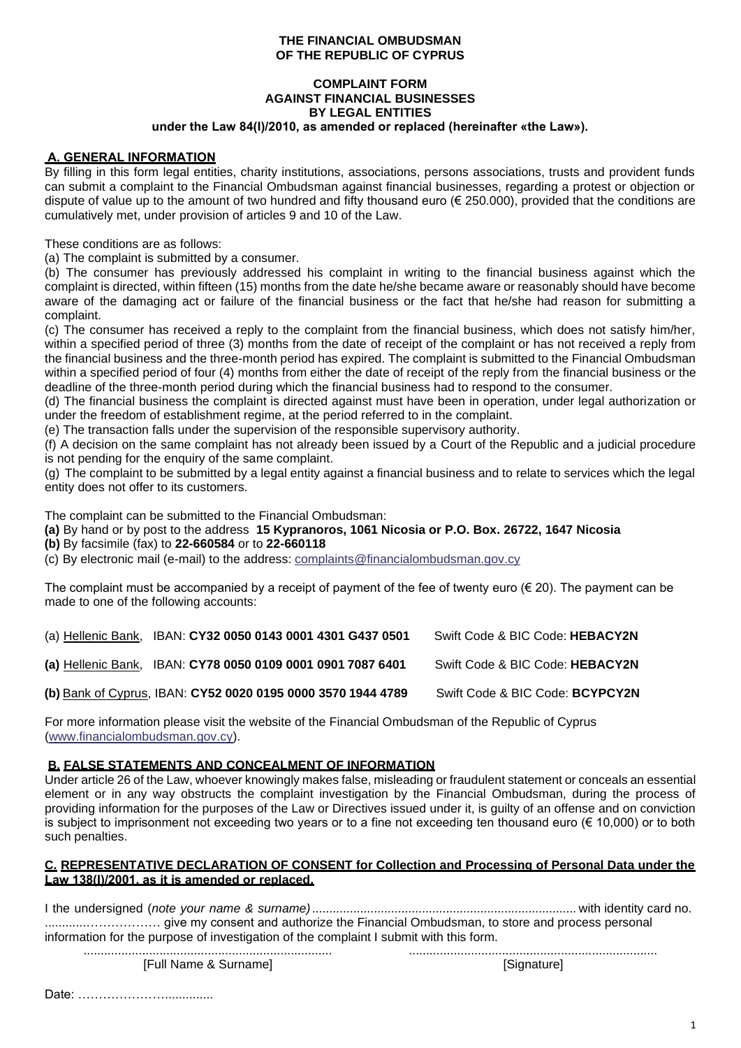### **THE FINANCIAL OMBUDSMAN OF THE REPUBLIC OF CYPRUS**

# **COMPLAINT FORM AGAINST FINANCIAL BUSINESSES BY LEGAL ENTITIES**

# **under the Law 84(Ι)/2010, as amended or replaced (hereinafter «the Law»).**

### **Α. GENERAL INFORMATION**

By filling in this form legal entities, charity institutions, associations, persons associations, trusts and provident funds can submit a complaint to the Financial Ombudsman against financial businesses, regarding a protest or objection or dispute of value up to the amount of two hundred and fifty thousand euro (€ 250.000), provided that the conditions are cumulatively met, under provision of articles 9 and 10 of the Law.

These conditions are as follows:

(a) The complaint is submitted by a consumer.

(b) The consumer has previously addressed his complaint in writing to the financial business against which the complaint is directed, within fifteen (15) months from the date he/she became aware or reasonably should have become aware of the damaging act or failure of the financial business or the fact that he/she had reason for submitting a complaint.

(c) The consumer has received a reply to the complaint from the financial business, which does not satisfy him/her, within a specified period of three (3) months from the date of receipt of the complaint or has not received a reply from the financial business and the three-month period has expired. The complaint is submitted to the Financial Ombudsman within a specified period of four (4) months from either the date of receipt of the reply from the financial business or the deadline of the three-month period during which the financial business had to respond to the consumer.

(d) The financial business the complaint is directed against must have been in operation, under legal authorization or under the freedom of establishment regime, at the period referred to in the complaint.

(e) The transaction falls under the supervision of the responsible supervisory authority.

(f) A decision on the same complaint has not already been issued by a Court of the Republic and a judicial procedure is not pending for the enquiry of the same complaint.

(g) The complaint to be submitted by a legal entity against a financial business and to relate to services which the legal entity does not offer to its customers.

The complaint can be submitted to the Financial Ombudsman:

**(a)** By hand or by post to the address **15 Kypranoros, 1061 Nicosia or P.O. Box. 26722, 1647 Nicosia**

**(b)** By facsimile (fax) to **22-660584** or to **22-660118**

(c) By electronic mail (e-mail) to the address: [complaints@financialombudsman.gov.cy](mailto:complaints@financialombudsman.gov.cy)

The complaint must be accompanied by a receipt of payment of the fee of twenty euro ( $\in$  20). The payment can be made to one of the following accounts:

| (a) Hellenic Bank, IBAN: CY32 0050 0143 0001 4301 G437 0501  | Swift Code & BIC Code: HEBACY2N |
|--------------------------------------------------------------|---------------------------------|
| (a) Hellenic Bank, IBAN: CY78 0050 0109 0001 0901 7087 6401  | Swift Code & BIC Code: HEBACY2N |
| (b) Bank of Cyprus, IBAN: CY52 0020 0195 0000 3570 1944 4789 | Swift Code & BIC Code: BCYPCY2N |

For more information please visit the website of the Financial Ombudsman of the Republic of Cyprus [\(www.financialombudsman.gov.cy\)](http://www.financialombudsman.gov.cy/).

# **B. FALSE STATEMENTS AND CONCEALMENT OF INFORMATION**

Under article 26 of the Law, whoever knowingly makes false, misleading or fraudulent statement or conceals an essential element or in any way obstructs the complaint investigation by the Financial Ombudsman, during the process of providing information for the purposes of the Law or Directives issued under it, is guilty of an offense and on conviction is subject to imprisonment not exceeding two years or to a fine not exceeding ten thousand euro (€ 10,000) or to both such penalties.

### **C. REPRESENTATIVE DECLARATION OF CONSENT for Collection and Processing of Personal Data under the Law 138(Ι)/2001, as it is amended or replaced.**

| information for the purpose of investigation of the complaint I submit with this form. |             |  |  |
|----------------------------------------------------------------------------------------|-------------|--|--|
|                                                                                        |             |  |  |
| [Full Name & Surname]                                                                  | [Signature] |  |  |

Date: ………………………………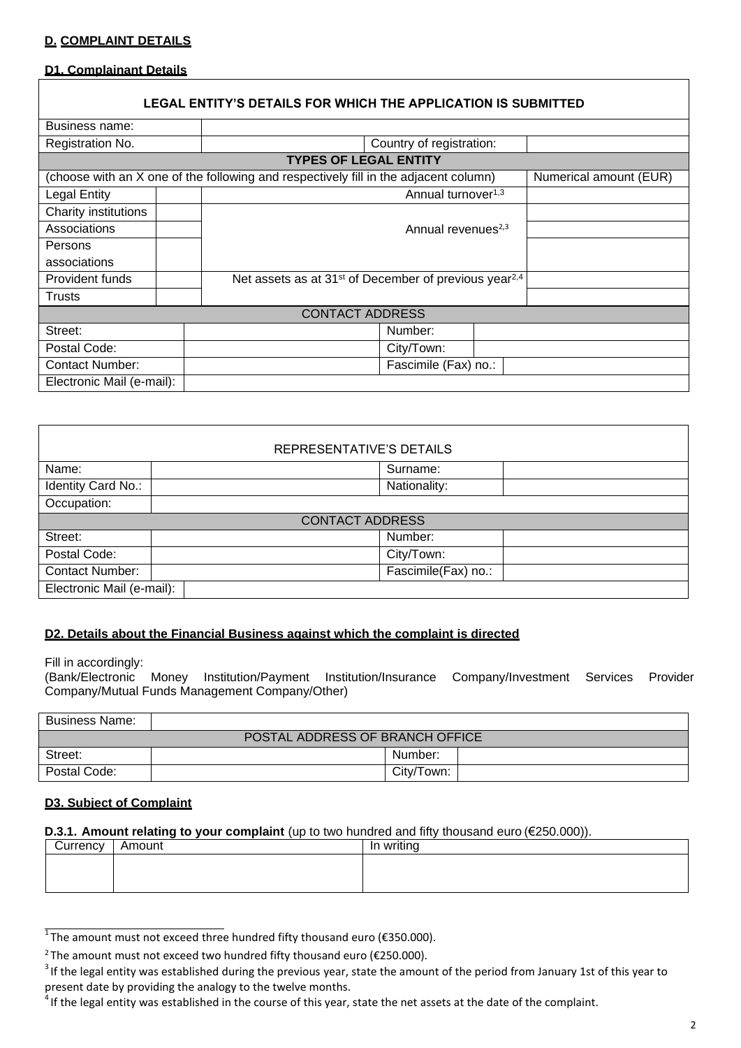### **D. COMPLAINT DETAILS**

#### **D1. Complainant Details**

### **LEGAL ENTITY'S DETAILS FOR WHICH THE APPLICATION IS SUBMITTED**

| Business name:            |                                                                                                                |
|---------------------------|----------------------------------------------------------------------------------------------------------------|
| Registration No.          | Country of registration:                                                                                       |
|                           | <b>TYPES OF LEGAL ENTITY</b>                                                                                   |
|                           | (choose with an X one of the following and respectively fill in the adjacent column)<br>Numerical amount (EUR) |
| <b>Legal Entity</b>       | Annual turnover <sup>1,3</sup>                                                                                 |
| Charity institutions      |                                                                                                                |
| Associations              | Annual revenues <sup>2,3</sup>                                                                                 |
| Persons                   |                                                                                                                |
| associations              |                                                                                                                |
| Provident funds           | Net assets as at 31 <sup>st</sup> of December of previous year <sup>2,4</sup>                                  |
| Trusts                    |                                                                                                                |
|                           | <b>CONTACT ADDRESS</b>                                                                                         |
| Street:                   | Number:                                                                                                        |
| Postal Code:              | City/Town:                                                                                                     |
| <b>Contact Number:</b>    | Fascimile (Fax) no.:                                                                                           |
| Electronic Mail (e-mail): |                                                                                                                |

| REPRESENTATIVE'S DETAILS  |                     |  |  |  |
|---------------------------|---------------------|--|--|--|
| Name:                     | Surname:            |  |  |  |
| Identity Card No.:        | Nationality:        |  |  |  |
| Occupation:               |                     |  |  |  |
| <b>CONTACT ADDRESS</b>    |                     |  |  |  |
| Street:                   | Number:             |  |  |  |
| Postal Code:              | City/Town:          |  |  |  |
| <b>Contact Number:</b>    | Fascimile(Fax) no.: |  |  |  |
| Electronic Mail (e-mail): |                     |  |  |  |

#### **D2. Details about the Financial Business against which the complaint is directed**

Fill in accordingly:<br>(Bank/Electronic Money Institution/Payment Institution/Insurance Company/Investment Services Provider Company/Mutual Funds Management Company/Other)

| <b>Business Name:</b>           |            |  |  |
|---------------------------------|------------|--|--|
| POSTAL ADDRESS OF BRANCH OFFICE |            |  |  |
| Street:                         | Number:    |  |  |
| Postal Code:                    | City/Town: |  |  |

#### **D3. Subject of Complaint**

#### **D.3.1. Amount relating to your complaint** (up to two hundred and fifty thousand euro (€250.000)).

| Currency | Amount | In writing |
|----------|--------|------------|
|          |        |            |
|          |        |            |
|          |        |            |

 $^{\overline{1}}$ The amount must not exceed three hundred fifty thousand euro (€350.000).

<sup>&</sup>lt;sup>2</sup> The amount must not exceed two hundred fifty thousand euro ( $\epsilon$ 250.000).

 $3$  If the legal entity was established during the previous year, state the amount of the period from January 1st of this year to present date by providing the analogy to the twelve months.

 $<sup>4</sup>$  If the legal entity was established in the course of this year, state the net assets at the date of the complaint.</sup>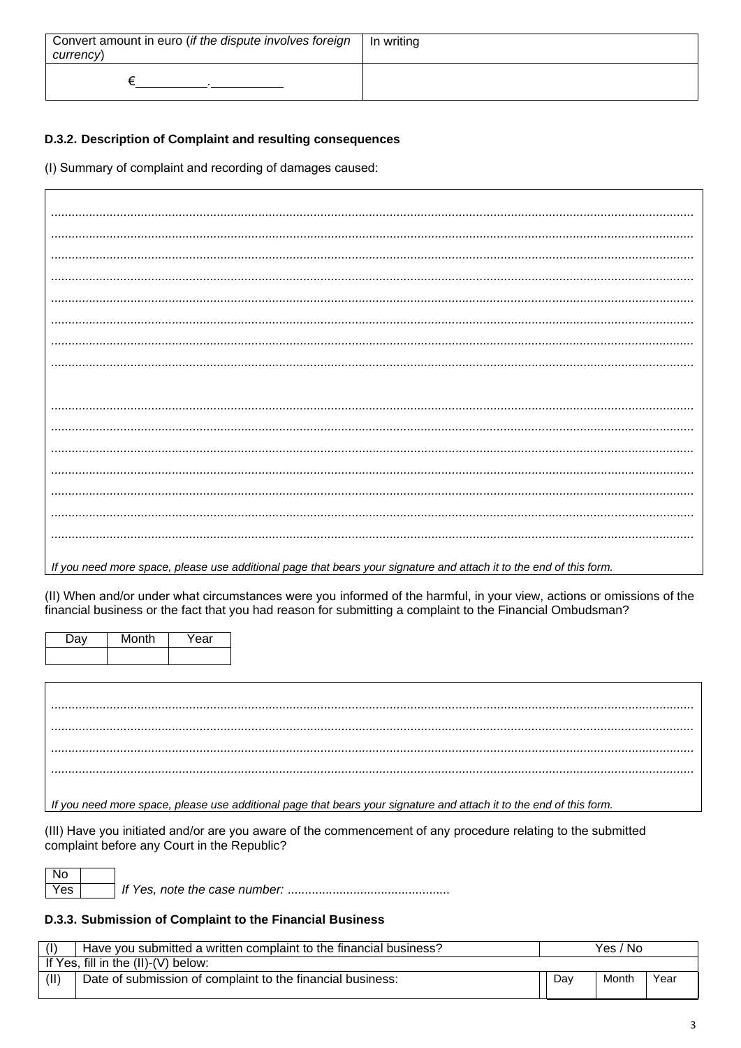| Convert amount in euro (if the dispute involves foreign<br>currency) | In writing |
|----------------------------------------------------------------------|------------|
|                                                                      |            |

# D.3.2. Description of Complaint and resulting consequences

(I) Summary of complaint and recording of damages caused:

| If you need more space, please use additional page that bears your signature and attach it to the end of this form. |
|---------------------------------------------------------------------------------------------------------------------|

(II) When and/or under what circumstances were you informed of the harmful, in your view, actions or omissions of the financial business or the fact that you had reason for submitting a complaint to the Financial Ombudsman?

| Jav | Month | Year |
|-----|-------|------|
|     |       |      |

If you need more space, please use additional page that bears your signature and attach it to the end of this form.

(III) Have you initiated and/or are you aware of the commencement of any procedure relating to the submitted complaint before any Court in the Republic?

# D.3.3. Submission of Complaint to the Financial Business

| (1)  | Have you submitted a written complaint to the financial business? | Yes.<br>. No |       |      |
|------|-------------------------------------------------------------------|--------------|-------|------|
|      | If Yes, fill in the $(II)-(V)$ below:                             |              |       |      |
| (II) | Date of submission of complaint to the financial business:        | Dav          | Month | Year |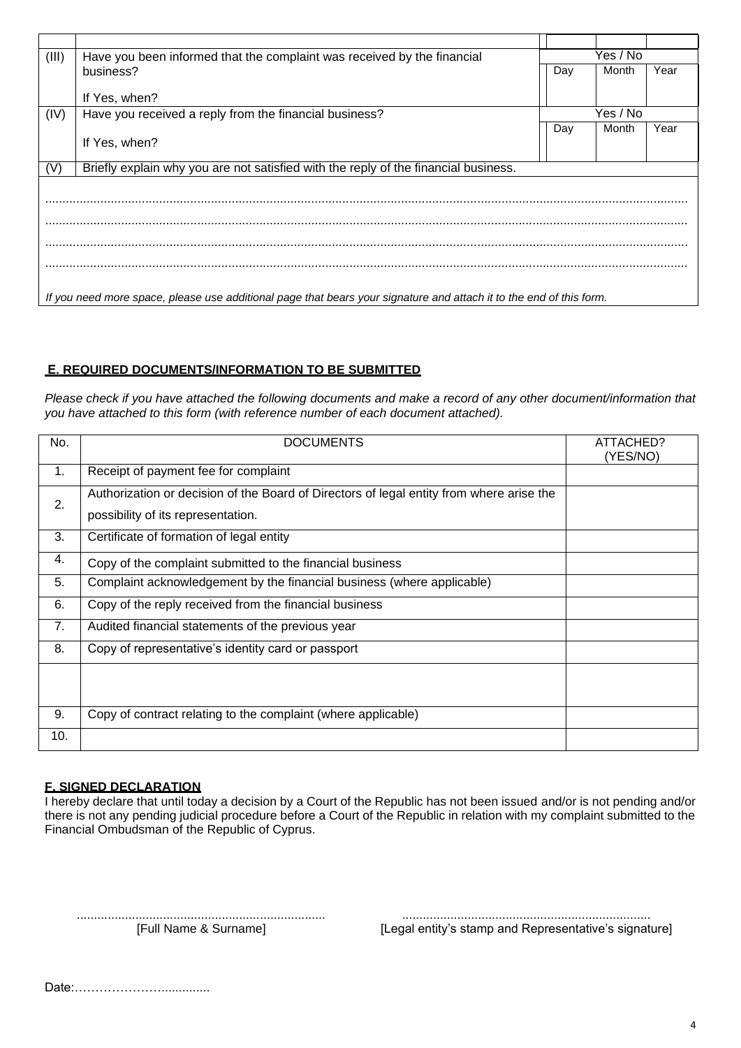| (III) | Have you been informed that the complaint was received by the financial                                             | Yes / No |          |      |  |
|-------|---------------------------------------------------------------------------------------------------------------------|----------|----------|------|--|
|       | business?                                                                                                           | Day      | Month    | Year |  |
|       |                                                                                                                     |          |          |      |  |
|       | If Yes, when?                                                                                                       |          |          |      |  |
| (IV)  | Have you received a reply from the financial business?                                                              |          | Yes / No |      |  |
|       |                                                                                                                     | Day      | Month    | Year |  |
|       | If Yes, when?                                                                                                       |          |          |      |  |
|       |                                                                                                                     |          |          |      |  |
| (V)   | Briefly explain why you are not satisfied with the reply of the financial business.                                 |          |          |      |  |
|       |                                                                                                                     |          |          |      |  |
|       |                                                                                                                     |          |          |      |  |
|       |                                                                                                                     |          |          |      |  |
|       |                                                                                                                     |          |          |      |  |
|       |                                                                                                                     |          |          |      |  |
|       |                                                                                                                     |          |          |      |  |
|       |                                                                                                                     |          |          |      |  |
|       |                                                                                                                     |          |          |      |  |
|       | If you need more space, please use additional page that bears your signature and attach it to the end of this form. |          |          |      |  |

# **Ε. REQUIRED DOCUMENTS/INFORMATION TO BE SUBMITTED**

*Please check if you have attached the following documents and make a record of any other document/information that you have attached to this form (with reference number of each document attached).*

| No. | <b>DOCUMENTS</b>                                                                                                               | ATTACHED?<br>(YES/NO) |
|-----|--------------------------------------------------------------------------------------------------------------------------------|-----------------------|
| 1.  | Receipt of payment fee for complaint                                                                                           |                       |
| 2.  | Authorization or decision of the Board of Directors of legal entity from where arise the<br>possibility of its representation. |                       |
| 3.  | Certificate of formation of legal entity                                                                                       |                       |
| 4.  | Copy of the complaint submitted to the financial business                                                                      |                       |
| 5.  | Complaint acknowledgement by the financial business (where applicable)                                                         |                       |
| 6.  | Copy of the reply received from the financial business                                                                         |                       |
| 7.  | Audited financial statements of the previous year                                                                              |                       |
| 8.  | Copy of representative's identity card or passport                                                                             |                       |
|     |                                                                                                                                |                       |
| 9.  | Copy of contract relating to the complaint (where applicable)                                                                  |                       |
| 10. |                                                                                                                                |                       |

# **F. SIGNED DECLARATION**

I hereby declare that until today a decision by a Court of the Republic has not been issued and/or is not pending and/or there is not any pending judicial procedure before a Court of the Republic in relation with my complaint submitted to the Financial Ombudsman of the Republic of Cyprus.

........................................................................ ........................................................................ [Full Name & Surname] [Legal entity's stamp and Representative's signature]